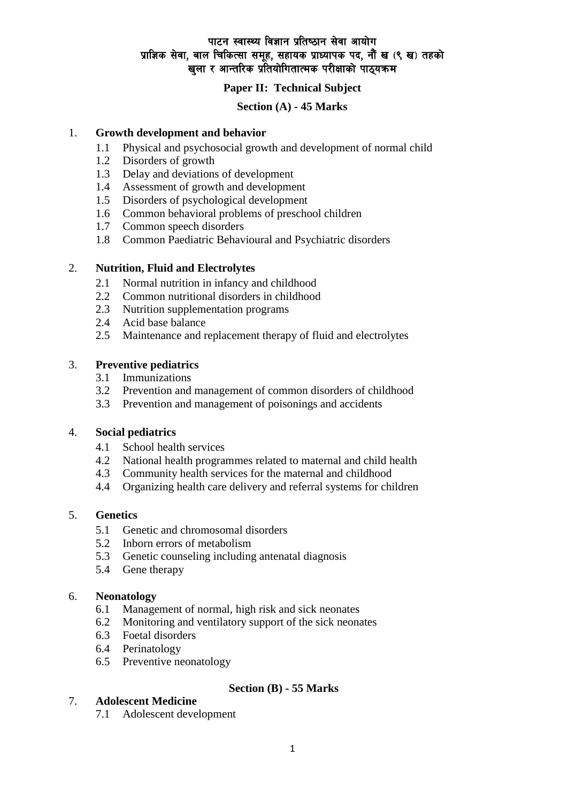# पाटन स्वास्थ्य विज्ञान प्रतिष्ठान सेवा आयोग प्राज्ञिक सेवा, बाल चिकित्सा समूह, सहायक प्राध्यापक पद, नौं ख (९ ख) तहको खुला र आन्तरिक प्रतियोगितात्मक परीक्षाको पाठ्यक्रम

# **Paper II: Technical Subject**

# **Section (A) - 45 Marks**

### 1. **Growth development and behavior**

- 1.1 Physical and psychosocial growth and development of normal child
- 1.2 Disorders of growth
- 1.3 Delay and deviations of development
- 1.4 Assessment of growth and development
- 1.5 Disorders of psychological development
- 1.6 Common behavioral problems of preschool children
- 1.7 Common speech disorders
- 1.8 Common Paediatric Behavioural and Psychiatric disorders

### 2. **Nutrition, Fluid and Electrolytes**

- 2.1 Normal nutrition in infancy and childhood
- 2.2 Common nutritional disorders in childhood
- 2.3 Nutrition supplementation programs
- 2.4 Acid base balance
- 2.5 Maintenance and replacement therapy of fluid and electrolytes

## 3. **Preventive pediatrics**

- 3.1 Immunizations
- 3.2 Prevention and management of common disorders of childhood
- 3.3 Prevention and management of poisonings and accidents

## 4. **Social pediatrics**

- 4.1 School health services
- 4.2 National health programmes related to maternal and child health
- 4.3 Community health services for the maternal and childhood
- 4.4 Organizing health care delivery and referral systems for children

### 5. **Genetics**

- 5.1 Genetic and chromosomal disorders
- 5.2 Inborn errors of metabolism
- 5.3 Genetic counseling including antenatal diagnosis
- 5.4 Gene therapy

### 6. **Neonatology**

- 6.1 Management of normal, high risk and sick neonates
- 6.2 Monitoring and ventilatory support of the sick neonates
- 6.3 Foetal disorders
- 6.4 Perinatology
- 6.5 Preventive neonatology

# 7. **Adolescent Medicine**

7.1 Adolescent development

**Section (B) - 55 Marks**